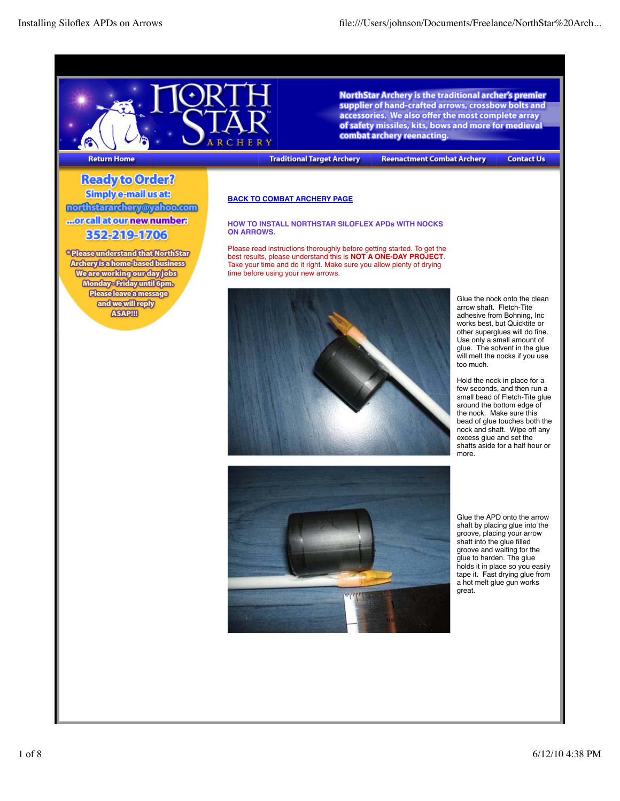

NorthStar Archery is the traditional archer's premier supplier of hand-crafted arrows, crossbow bolts and accessories. We also offer the most complete array of safety missiles, kits, bows and more for medieval combat archery reenacting.

**Return Home** 

**Traditional Target Archery** 

**Reenactment Combat Archery** 

**Contact Us** 

Ready to Order? **Simplye-mail usats** northstararchery@yahoo.com ...orcallatournewnumber: 352219-1703

\* Please understand that North Star **Archery is a home-based business Weareworking our day jobs** Monday-Friday until 6pm. Please leave a message and we will reply **ASAPIII** 

# **BACK TO COMBAT ARCHERY PAGE**

## **HOW TO INSTALL NORTHSTAR SILOFLEX APDs WITH NOCKS ON ARROWS.**

Please read instructions thoroughly before getting started. To get the best results, please understand this is **NOT A ONE-DAY PROJECT**. Take your time and do it right. Make sure you allow plenty of drying time before using your new arrows.



Glue the nock onto the clean arrow shaft. Fletch-Tite adhesive from Bohning, Inc works best, but Quicktite or other superglues will do fine. Use only a small amount of glue. The solvent in the glue will melt the nocks if you use too much.

Hold the nock in place for a few seconds, and then run a small bead of Fletch-Tite glue around the bottom edge of the nock. Make sure this bead of glue touches both the nock and shaft. Wipe off any excess glue and set the shafts aside for a half hour or more.



Glue the APD onto the arrow shaft by placing glue into the groove, placing your arrow shaft into the glue filled groove and waiting for the glue to harden. The glue holds it in place so you easily tape it. Fast drying glue from a hot melt glue gun works great.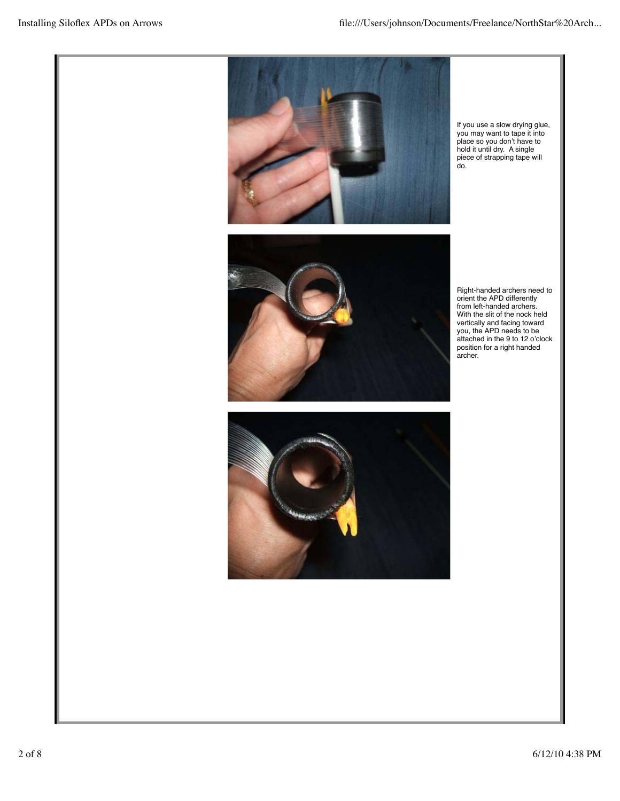

If you use a slow drying glue, you may want to tape it into place so you don't have to hold it until dry. A single piece of strapping tape will do.



Right-handed archers need to orient the APD differently from left-handed archers. With the slit of the nock held vertically and facing toward you, the APD needs to be attached in the 9 to 12 o'clock position for a right handed archer.

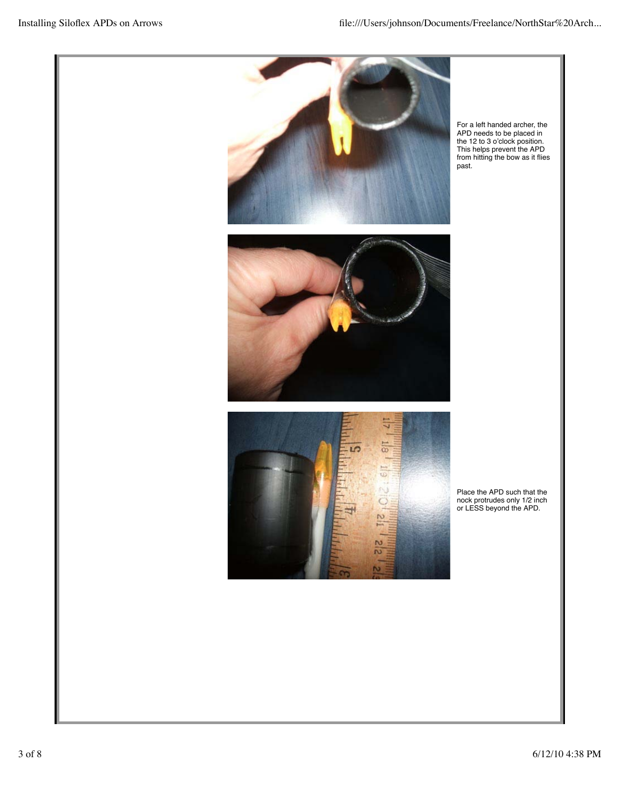





For a left handed archer, the APD needs to be placed in the 12 to 3 o'clock position. This helps prevent the APD from hitting the bow as it flies past.

Place the APD such that the nock protrudes only 1/2 inch or LESS beyond the APD.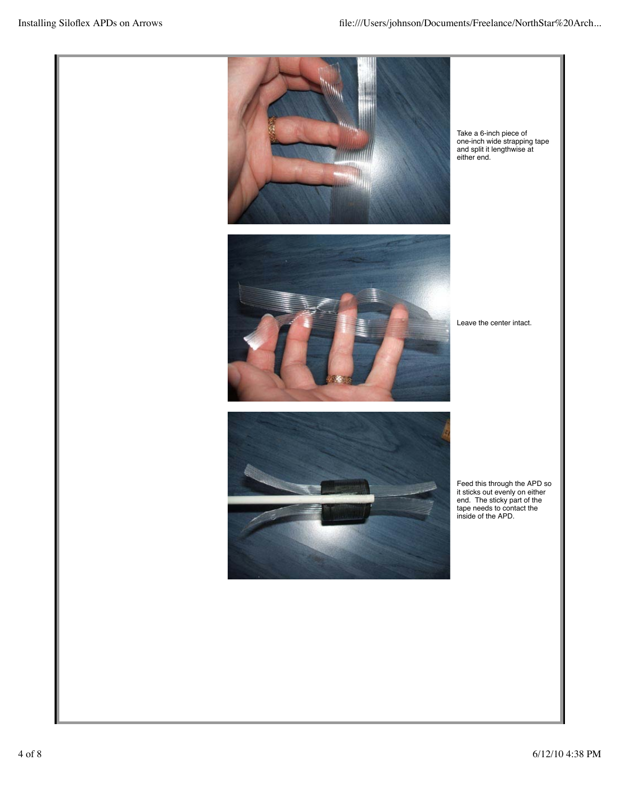

Take a 6-inch piece of one-inch wide strapping tape and split it lengthwise at either end.



Leave the center intact.



Feed this through the APD so it sticks out evenly on either end. The sticky part of the tape needs to contact the inside of the APD.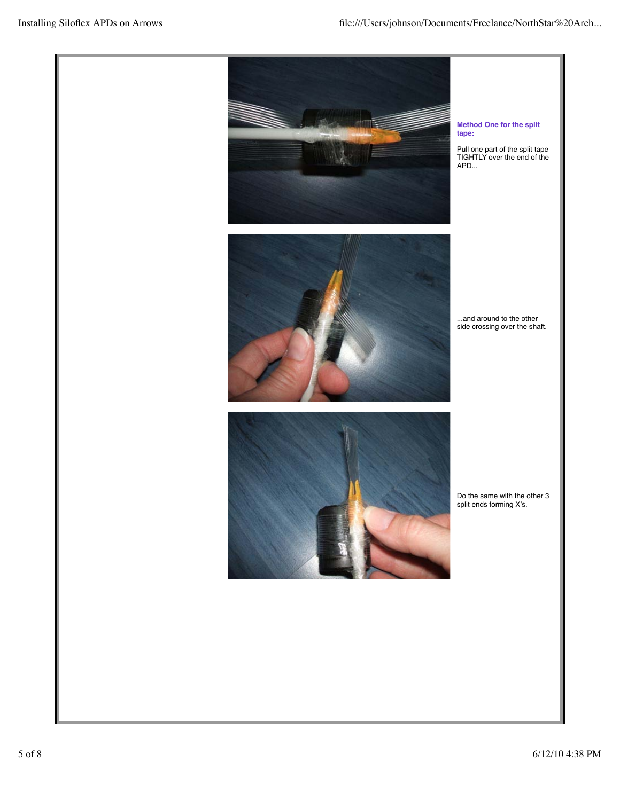







Do the same with the other 3 split ends forming X's.

## **Method One for the split tape:**

Pull one part of the split tape TIGHTLY over the end of the APD...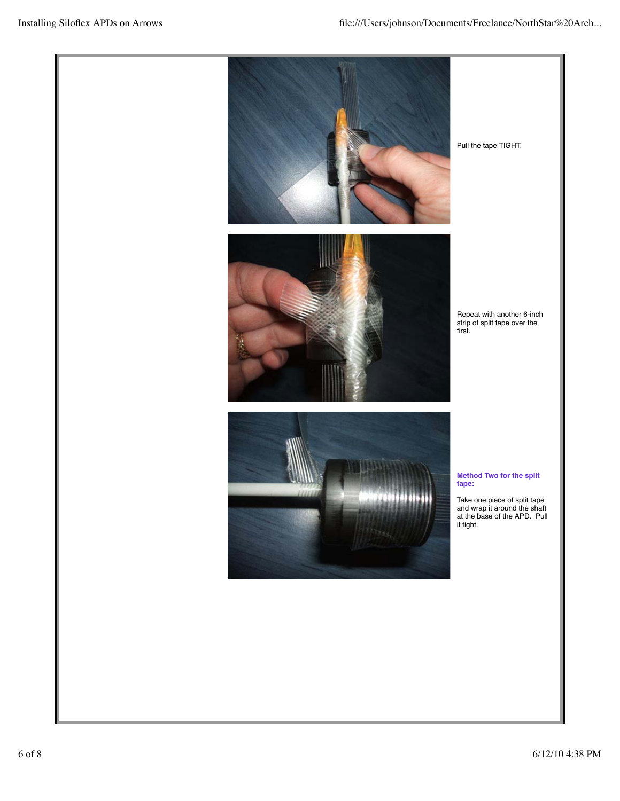

Pull the tape TIGHT.



Repeat with another 6-inch strip of split tape over the first.



**Method Two for the split tape:**

Take one piece of split tape and wrap it around the shaft at the base of the APD. Pull it tight.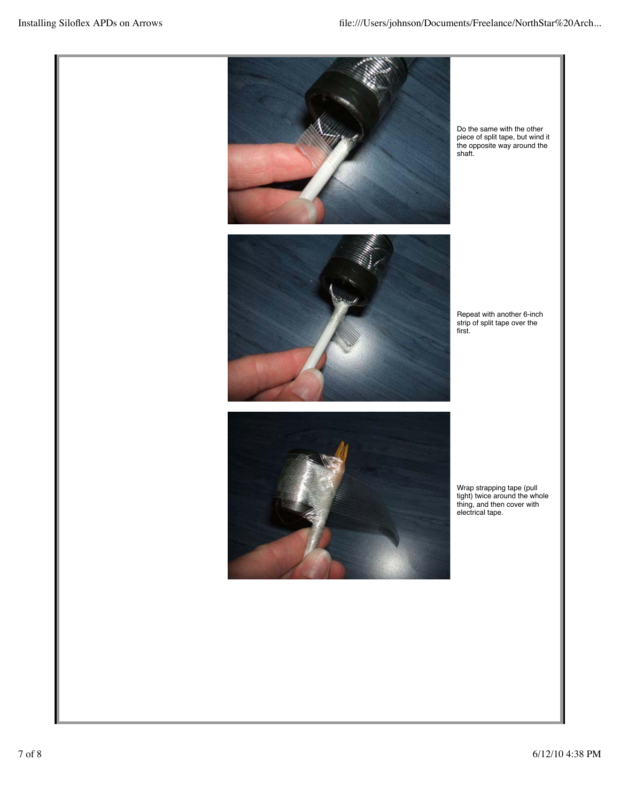



Do the same with the other piece of split tape, but wind it the opposite way around the shaft.

Repeat with another 6-inch strip of split tape over the first.



Wrap strapping tape (pull tight) twice around the whole thing, and then cover with electrical tape.